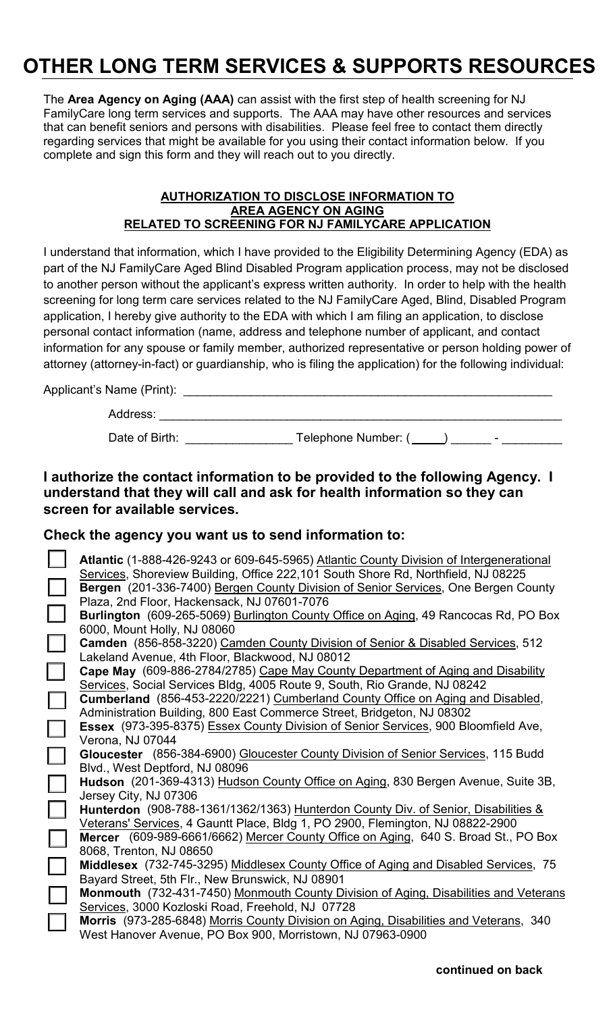# **OTHER LONG TERM SERVICES & SUPPORTS RESOURCES**

The **Area Agency on Aging (AAA)** can assist with the first step of health screening for NJ FamilyCare long term services and supports. The AAA may have other resources and services that can benefit seniors and persons with disabilities. Please feel free to contact them directly regarding services that might be available for you using their contact information below. If you complete and sign this form and they will reach out to you directly.

#### **AUTHORIZATION TO DISCLOSE INFORMATION TO AREA AGENCY ON AGING RELATED TO SCREENING FOR NJ FAMILYCARE APPLICATION**

I understand that information, which I have provided to the Eligibility Determining Agency (EDA) as part of the NJ FamilyCare Aged Blind Disabled Program application process, may not be disclosed to another person without the applicant's express written authority. In order to help with the health screening for long term care services related to the NJ FamilyCare Aged, Blind, Disabled Program application, I hereby give authority to the EDA with which I am filing an application, to disclose personal contact information (name, address and telephone number of applicant, and contact information for any spouse or family member, authorized representative or person holding power of attorney (attorney-in-fact) or guardianship, who is filing the application) for the following individual:

Applicant's Name (Print):

| Address: |  |
|----------|--|
|          |  |

Date of Birth: \_\_\_\_\_\_\_\_\_\_\_\_\_\_\_\_ Telephone Number: ( ) \_\_\_\_\_\_ - \_\_\_\_\_\_\_\_\_

# **I authorize the contact information to be provided to the following Agency. I understand that they will call and ask for health information so they can screen for available services.**

## **Check the agency you want us to send information to:**

|                          | Atlantic (1-888-426-9243 or 609-645-5965) Atlantic County Division of Intergenerational |
|--------------------------|-----------------------------------------------------------------------------------------|
|                          | Services, Shoreview Building, Office 222,101 South Shore Rd, Northfield, NJ 08225       |
| $\Box$                   | Bergen (201-336-7400) Bergen County Division of Senior Services, One Bergen County      |
|                          | Plaza, 2nd Floor, Hackensack, NJ 07601-7076                                             |
| $\Box$                   | Burlington (609-265-5069) Burlington County Office on Aging, 49 Rancocas Rd, PO Box     |
|                          | 6000, Mount Holly, NJ 08060                                                             |
| $\Box$                   | Camden (856-858-3220) Camden County Division of Senior & Disabled Services, 512         |
|                          | Lakeland Avenue, 4th Floor, Blackwood, NJ 08012                                         |
| $\Box$                   | Cape May (609-886-2784/2785) Cape May County Department of Aging and Disability         |
|                          | Services, Social Services Bldg, 4005 Route 9, South, Rio Grande, NJ 08242               |
| $\Box$                   | Cumberland (856-453-2220/2221) Cumberland County Office on Aging and Disabled,          |
|                          | Administration Building, 800 East Commerce Street, Bridgeton, NJ 08302                  |
| $\Box$                   | Essex (973-395-8375) Essex County Division of Senior Services, 900 Bloomfield Ave,      |
|                          | Verona, NJ 07044                                                                        |
| $\Box$                   | Gloucester (856-384-6900) Gloucester County Division of Senior Services, 115 Budd       |
|                          | Blvd., West Deptford, NJ 08096                                                          |
| $\Box$                   | Hudson (201-369-4313) Hudson County Office on Aging, 830 Bergen Avenue, Suite 3B,       |
|                          | Jersey City, NJ 07306                                                                   |
| $\Box$                   | Hunterdon (908-788-1361/1362/1363) Hunterdon County Div. of Senior, Disabilities &      |
|                          | Veterans' Services, 4 Gauntt Place, Bldg 1, PO 2900, Flemington, NJ 08822-2900          |
| $\Box$                   | Mercer (609-989-6661/6662) Mercer County Office on Aging, 640 S. Broad St., PO Box      |
|                          | 8068, Trenton, NJ 08650                                                                 |
| $\Box$                   | Middlesex (732-745-3295) Middlesex County Office of Aging and Disabled Services, 75     |
|                          | Bayard Street, 5th Flr., New Brunswick, NJ 08901                                        |
| L                        | Monmouth (732-431-7450) Monmouth County Division of Aging, Disabilities and Veterans    |
|                          | Services, 3000 Kozloski Road, Freehold, NJ 07728                                        |
| $\overline{\phantom{a}}$ | Morris (973-285-6848) Morris County Division on Aging, Disabilities and Veterans, 340   |
|                          | West Hanover Avenue, PO Box 900, Morristown, NJ 07963-0900                              |